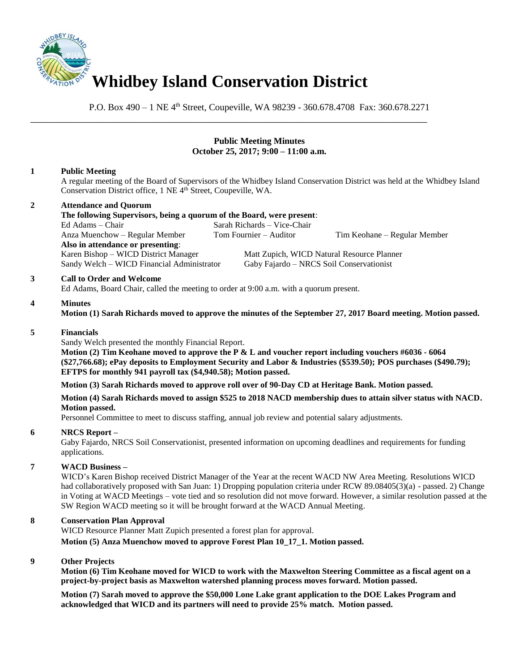

P.O. Box 490 – 1 NE 4<sup>th</sup> Street, Coupeville, WA 98239 - 360.678.4708 Fax: 360.678.2271

\_\_\_\_\_\_\_\_\_\_\_\_\_\_\_\_\_\_\_\_\_\_\_\_\_\_\_\_\_\_\_\_\_\_\_\_\_\_\_\_\_\_\_\_\_\_\_\_\_\_\_\_\_\_\_\_\_\_\_\_\_\_\_\_\_\_\_\_\_\_\_\_\_\_\_\_\_\_

# **Public Meeting Minutes October 25, 2017; 9:00 – 11:00 a.m.**

# **1 Public Meeting**

A regular meeting of the Board of Supervisors of the Whidbey Island Conservation District was held at the Whidbey Island Conservation District office, 1 NE 4<sup>th</sup> Street, Coupeville, WA.

# **2 Attendance and Quorum**

**The following Supervisors, being a quorum of the Board, were present**: Ed Adams – Chair Sarah Richards – Vice-Chair Anza Muenchow – Regular Member Tom Fournier – Auditor Tim Keohane – Regular Member **Also in attendance or presenting**: Karen Bishop – WICD District Manager Matt Zupich, WICD Natural Resource Planner Sandy Welch – WICD Financial Administrator Gaby Fajardo – NRCS Soil Conservationist

#### **3 Call to Order and Welcome**

Ed Adams, Board Chair, called the meeting to order at 9:00 a.m. with a quorum present.

#### **4 Minutes**

**Motion (1) Sarah Richards moved to approve the minutes of the September 27, 2017 Board meeting. Motion passed.** 

#### **5 Financials**

Sandy Welch presented the monthly Financial Report.

**Motion (2) Tim Keohane moved to approve the P & L and voucher report including vouchers #6036 - 6064 (\$27,766.68); ePay deposits to Employment Security and Labor & Industries (\$539.50); POS purchases (\$490.79); EFTPS for monthly 941 payroll tax (\$4,940.58); Motion passed.** 

**Motion (3) Sarah Richards moved to approve roll over of 90-Day CD at Heritage Bank. Motion passed.**

**Motion (4) Sarah Richards moved to assign \$525 to 2018 NACD membership dues to attain silver status with NACD. Motion passed.**

Personnel Committee to meet to discuss staffing, annual job review and potential salary adjustments.

### **6 NRCS Report –**

Gaby Fajardo, NRCS Soil Conservationist, presented information on upcoming deadlines and requirements for funding applications.

# **7 WACD Business –**

WICD's Karen Bishop received District Manager of the Year at the recent WACD NW Area Meeting. Resolutions WICD had collaboratively proposed with San Juan: 1) Dropping population criteria under RCW 89.08405(3)(a) - passed. 2) Change in Voting at WACD Meetings – vote tied and so resolution did not move forward. However, a similar resolution passed at the SW Region WACD meeting so it will be brought forward at the WACD Annual Meeting.

### **8 Conservation Plan Approval**

WICD Resource Planner Matt Zupich presented a forest plan for approval.

**Motion (5) Anza Muenchow moved to approve Forest Plan 10\_17\_1. Motion passed.**

### **9 Other Projects**

**Motion (6) Tim Keohane moved for WICD to work with the Maxwelton Steering Committee as a fiscal agent on a project-by-project basis as Maxwelton watershed planning process moves forward. Motion passed.**

**Motion (7) Sarah moved to approve the \$50,000 Lone Lake grant application to the DOE Lakes Program and acknowledged that WICD and its partners will need to provide 25% match. Motion passed.**